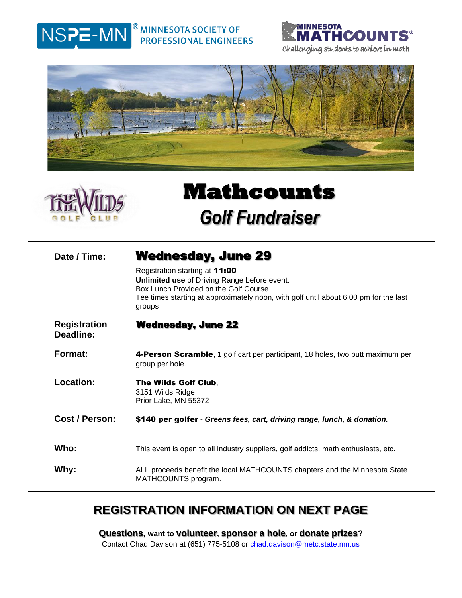#### $^\circledR$  MINNESOTA SOCIETY OF NSPE-MN **PROFESSIONAL ENGINEERS**







# **Mathcounts**  *Golf Fundraiser*

## **Date / Time:** Wednesday, June 29

Registration starting at 11:00 **Unlimited use** of Driving Range before event. Box Lunch Provided on the Golf Course Tee times starting at approximately noon, with golf until about 6:00 pm for the last groups

- **Registration Deadline:**  Wednesday, June 22
- **Format: 4-Person Scramble**, 1 golf cart per participant, 18 holes, two putt maximum per group per hole.
- **Location:** The Wilds Golf Club, 3151 Wilds Ridge Prior Lake, MN 55372
- **Cost / Person:** \$140 per golfer *Greens fees, cart, driving range, lunch, & donation.*
- Who: This event is open to all industry suppliers, golf addicts, math enthusiasts, etc.
- **Why:** ALL proceeds benefit the local MATHCOUNTS chapters and the Minnesota State MATHCOUNTS program.

## **REGISTRATION INFORMATION ON NEXT PAGE**

**Questions, want to volunteer, sponsor a hole, or donate prizes?** Contact Chad Davison at (651) 775-5108 or [chad.davison@metc.state.mn.us](mailto:chad.davison@metc.state.mn.us)